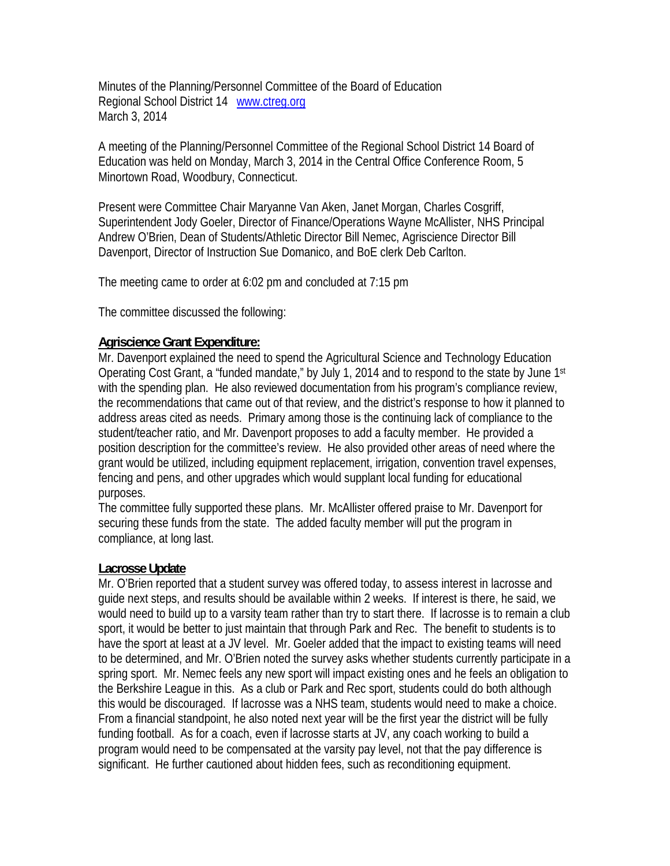Minutes of the Planning/Personnel Committee of the Board of Education Regional School District 14 www.ctreg.org March 3, 2014

A meeting of the Planning/Personnel Committee of the Regional School District 14 Board of Education was held on Monday, March 3, 2014 in the Central Office Conference Room, 5 Minortown Road, Woodbury, Connecticut.

Present were Committee Chair Maryanne Van Aken, Janet Morgan, Charles Cosgriff, Superintendent Jody Goeler, Director of Finance/Operations Wayne McAllister, NHS Principal Andrew O'Brien, Dean of Students/Athletic Director Bill Nemec, Agriscience Director Bill Davenport, Director of Instruction Sue Domanico, and BoE clerk Deb Carlton.

The meeting came to order at 6:02 pm and concluded at 7:15 pm

The committee discussed the following:

## **Agriscience Grant Expenditure:**

Mr. Davenport explained the need to spend the Agricultural Science and Technology Education Operating Cost Grant, a "funded mandate," by July 1, 2014 and to respond to the state by June 1st with the spending plan. He also reviewed documentation from his program's compliance review, the recommendations that came out of that review, and the district's response to how it planned to address areas cited as needs. Primary among those is the continuing lack of compliance to the student/teacher ratio, and Mr. Davenport proposes to add a faculty member. He provided a position description for the committee's review. He also provided other areas of need where the grant would be utilized, including equipment replacement, irrigation, convention travel expenses, fencing and pens, and other upgrades which would supplant local funding for educational purposes.

The committee fully supported these plans. Mr. McAllister offered praise to Mr. Davenport for securing these funds from the state. The added faculty member will put the program in compliance, at long last.

## **Lacrosse Update**

Mr. O'Brien reported that a student survey was offered today, to assess interest in lacrosse and guide next steps, and results should be available within 2 weeks. If interest is there, he said, we would need to build up to a varsity team rather than try to start there. If lacrosse is to remain a club sport, it would be better to just maintain that through Park and Rec. The benefit to students is to have the sport at least at a JV level. Mr. Goeler added that the impact to existing teams will need to be determined, and Mr. O'Brien noted the survey asks whether students currently participate in a spring sport. Mr. Nemec feels any new sport will impact existing ones and he feels an obligation to the Berkshire League in this. As a club or Park and Rec sport, students could do both although this would be discouraged. If lacrosse was a NHS team, students would need to make a choice. From a financial standpoint, he also noted next year will be the first year the district will be fully funding football. As for a coach, even if lacrosse starts at JV, any coach working to build a program would need to be compensated at the varsity pay level, not that the pay difference is significant. He further cautioned about hidden fees, such as reconditioning equipment.